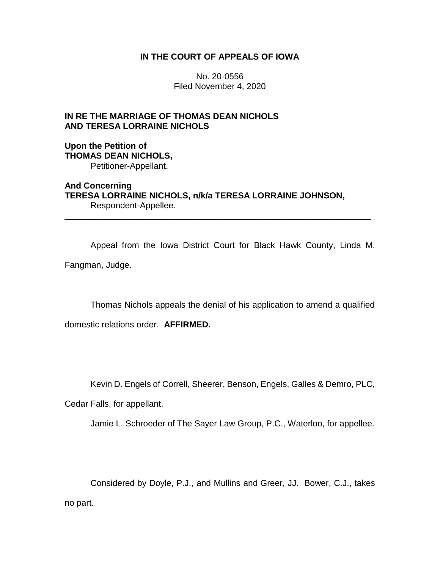### **IN THE COURT OF APPEALS OF IOWA**

No. 20-0556 Filed November 4, 2020

## **IN RE THE MARRIAGE OF THOMAS DEAN NICHOLS AND TERESA LORRAINE NICHOLS**

#### **Upon the Petition of THOMAS DEAN NICHOLS,** Petitioner-Appellant,

**And Concerning TERESA LORRAINE NICHOLS, n/k/a TERESA LORRAINE JOHNSON,** Respondent-Appellee.

Appeal from the Iowa District Court for Black Hawk County, Linda M. Fangman, Judge.

\_\_\_\_\_\_\_\_\_\_\_\_\_\_\_\_\_\_\_\_\_\_\_\_\_\_\_\_\_\_\_\_\_\_\_\_\_\_\_\_\_\_\_\_\_\_\_\_\_\_\_\_\_\_\_\_\_\_\_\_\_\_\_\_

Thomas Nichols appeals the denial of his application to amend a qualified

domestic relations order. **AFFIRMED.** 

Kevin D. Engels of Correll, Sheerer, Benson, Engels, Galles & Demro, PLC,

Cedar Falls, for appellant.

Jamie L. Schroeder of The Sayer Law Group, P.C., Waterloo, for appellee.

Considered by Doyle, P.J., and Mullins and Greer, JJ. Bower, C.J., takes no part.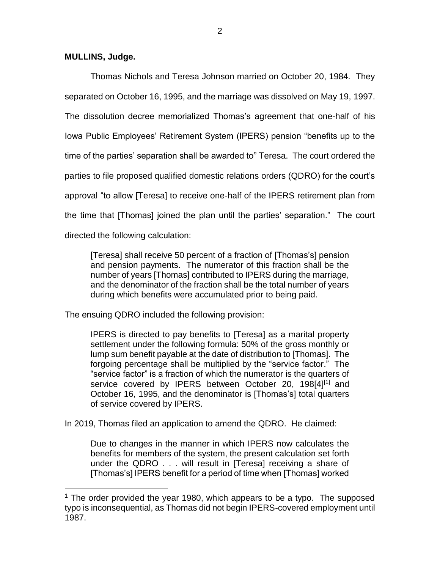#### **MULLINS, Judge.**

 $\overline{a}$ 

Thomas Nichols and Teresa Johnson married on October 20, 1984. They separated on October 16, 1995, and the marriage was dissolved on May 19, 1997. The dissolution decree memorialized Thomas's agreement that one-half of his Iowa Public Employees' Retirement System (IPERS) pension "benefits up to the time of the parties' separation shall be awarded to" Teresa. The court ordered the parties to file proposed qualified domestic relations orders (QDRO) for the court's approval "to allow [Teresa] to receive one-half of the IPERS retirement plan from the time that [Thomas] joined the plan until the parties' separation." The court directed the following calculation:

[Teresa] shall receive 50 percent of a fraction of [Thomas's] pension and pension payments. The numerator of this fraction shall be the number of years [Thomas] contributed to IPERS during the marriage, and the denominator of the fraction shall be the total number of years during which benefits were accumulated prior to being paid.

The ensuing QDRO included the following provision:

IPERS is directed to pay benefits to [Teresa] as a marital property settlement under the following formula: 50% of the gross monthly or lump sum benefit payable at the date of distribution to [Thomas]. The forgoing percentage shall be multiplied by the "service factor." The "service factor" is a fraction of which the numerator is the quarters of service covered by IPERS between October 20, 198[4]<sup>[1]</sup> and October 16, 1995, and the denominator is [Thomas's] total quarters of service covered by IPERS.

In 2019, Thomas filed an application to amend the QDRO. He claimed:

Due to changes in the manner in which IPERS now calculates the benefits for members of the system, the present calculation set forth under the QDRO . . . will result in [Teresa] receiving a share of [Thomas's] IPERS benefit for a period of time when [Thomas] worked

 $1$  The order provided the year 1980, which appears to be a typo. The supposed typo is inconsequential, as Thomas did not begin IPERS-covered employment until 1987.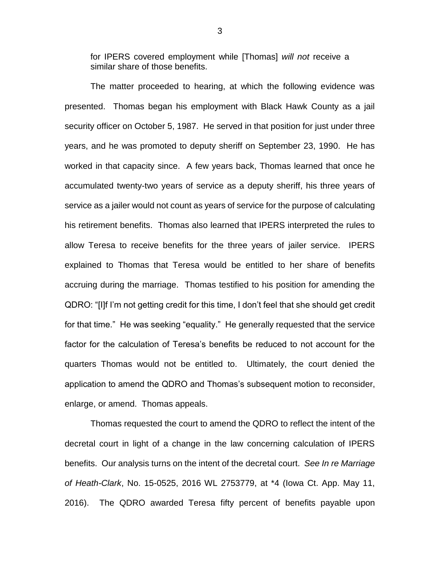for IPERS covered employment while [Thomas] *will not* receive a similar share of those benefits.

The matter proceeded to hearing, at which the following evidence was presented. Thomas began his employment with Black Hawk County as a jail security officer on October 5, 1987. He served in that position for just under three years, and he was promoted to deputy sheriff on September 23, 1990. He has worked in that capacity since. A few years back, Thomas learned that once he accumulated twenty-two years of service as a deputy sheriff, his three years of service as a jailer would not count as years of service for the purpose of calculating his retirement benefits. Thomas also learned that IPERS interpreted the rules to allow Teresa to receive benefits for the three years of jailer service. IPERS explained to Thomas that Teresa would be entitled to her share of benefits accruing during the marriage. Thomas testified to his position for amending the QDRO: "[I]f I'm not getting credit for this time, I don't feel that she should get credit for that time." He was seeking "equality." He generally requested that the service factor for the calculation of Teresa's benefits be reduced to not account for the quarters Thomas would not be entitled to. Ultimately, the court denied the application to amend the QDRO and Thomas's subsequent motion to reconsider, enlarge, or amend. Thomas appeals.

Thomas requested the court to amend the QDRO to reflect the intent of the decretal court in light of a change in the law concerning calculation of IPERS benefits. Our analysis turns on the intent of the decretal court. *See In re Marriage of Heath-Clark*, No. 15-0525, 2016 WL 2753779, at \*4 (Iowa Ct. App. May 11, 2016). The QDRO awarded Teresa fifty percent of benefits payable upon

3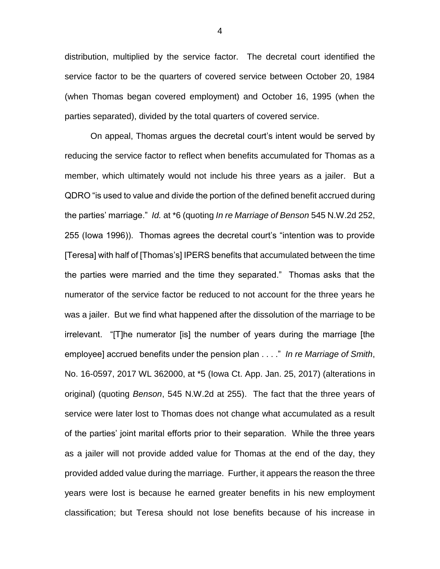distribution, multiplied by the service factor. The decretal court identified the service factor to be the quarters of covered service between October 20, 1984 (when Thomas began covered employment) and October 16, 1995 (when the parties separated), divided by the total quarters of covered service.

On appeal, Thomas argues the decretal court's intent would be served by reducing the service factor to reflect when benefits accumulated for Thomas as a member, which ultimately would not include his three years as a jailer. But a QDRO "is used to value and divide the portion of the defined benefit accrued during the parties' marriage." *Id.* at \*6 (quoting *In re Marriage of Benson* 545 N.W.2d 252, 255 (Iowa 1996)). Thomas agrees the decretal court's "intention was to provide [Teresa] with half of [Thomas's] IPERS benefits that accumulated between the time the parties were married and the time they separated." Thomas asks that the numerator of the service factor be reduced to not account for the three years he was a jailer. But we find what happened after the dissolution of the marriage to be irrelevant. "[T]he numerator [is] the number of years during the marriage [the employee] accrued benefits under the pension plan . . . ." *In re Marriage of Smith*, No. 16-0597, 2017 WL 362000, at \*5 (Iowa Ct. App. Jan. 25, 2017) (alterations in original) (quoting *Benson*, 545 N.W.2d at 255). The fact that the three years of service were later lost to Thomas does not change what accumulated as a result of the parties' joint marital efforts prior to their separation. While the three years as a jailer will not provide added value for Thomas at the end of the day, they provided added value during the marriage. Further, it appears the reason the three years were lost is because he earned greater benefits in his new employment classification; but Teresa should not lose benefits because of his increase in

4